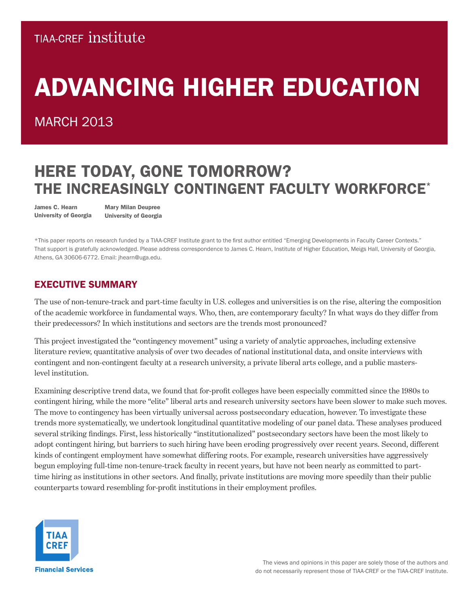### **TIAA-CREF INSTITUTE**

# ADVANCING HIGHER EDUCATION

### **MARCH 2013**

## HERE TODAY, GONE TOMORROW? THE INCREASINGLY CONTINGENT FACULTY WORKFORCE\*

James C. Hearn University of Georgia

Mary Milan Deupree University of Georgia

\*This paper reports on research funded by a TIAA-CREF Institute grant to the first author entitled "Emerging Developments in Faculty Career Contexts." That support is gratefully acknowledged. Please address correspondence to James C. Hearn, Institute of Higher Education, Meigs Hall, University of Georgia, Athens, GA 30606-6772. Email: jhearn@uga.edu.

#### EXECUTIVE SUMMARY

The use of non-tenure-track and part-time faculty in U.S. colleges and universities is on the rise, altering the composition of the academic workforce in fundamental ways. Who, then, are contemporary faculty? In what ways do they differ from their predecessors? In which institutions and sectors are the trends most pronounced?

This project investigated the "contingency movement" using a variety of analytic approaches, including extensive literature review, quantitative analysis of over two decades of national institutional data, and onsite interviews with contingent and non-contingent faculty at a research university, a private liberal arts college, and a public masterslevel institution.

Examining descriptive trend data, we found that for-profit colleges have been especially committed since the 1980s to contingent hiring, while the more "elite" liberal arts and research university sectors have been slower to make such moves. The move to contingency has been virtually universal across postsecondary education, however. To investigate these trends more systematically, we undertook longitudinal quantitative modeling of our panel data. These analyses produced several striking findings. First, less historically "institutionalized" postsecondary sectors have been the most likely to adopt contingent hiring, but barriers to such hiring have been eroding progressively over recent years. Second, different kinds of contingent employment have somewhat differing roots. For example, research universities have aggressively begun employing full-time non-tenure-track faculty in recent years, but have not been nearly as committed to parttime hiring as institutions in other sectors. And finally, private institutions are moving more speedily than their public counterparts toward resembling for-profit institutions in their employment profiles.

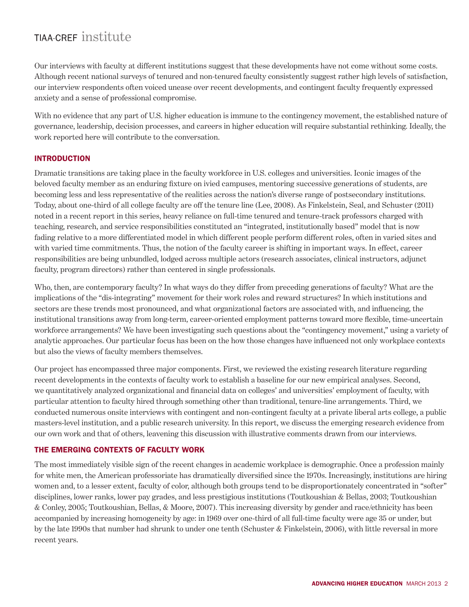Our interviews with faculty at different institutions suggest that these developments have not come without some costs. Although recent national surveys of tenured and non-tenured faculty consistently suggest rather high levels of satisfaction, our interview respondents often voiced unease over recent developments, and contingent faculty frequently expressed anxiety and a sense of professional compromise.

With no evidence that any part of U.S. higher education is immune to the contingency movement, the established nature of governance, leadership, decision processes, and careers in higher education will require substantial rethinking. Ideally, the work reported here will contribute to the conversation.

#### INTRODUCTION

Dramatic transitions are taking place in the faculty workforce in U.S. colleges and universities. Iconic images of the beloved faculty member as an enduring fixture on ivied campuses, mentoring successive generations of students, are becoming less and less representative of the realities across the nation's diverse range of postsecondary institutions. Today, about one-third of all college faculty are off the tenure line (Lee, 2008). As Finkelstein, Seal, and Schuster (2011) noted in a recent report in this series, heavy reliance on full-time tenured and tenure-track professors charged with teaching, research, and service responsibilities constituted an "integrated, institutionally based" model that is now fading relative to a more differentiated model in which different people perform different roles, often in varied sites and with varied time commitments. Thus, the notion of the faculty career is shifting in important ways. In effect, career responsibilities are being unbundled, lodged across multiple actors (research associates, clinical instructors, adjunct faculty, program directors) rather than centered in single professionals.

Who, then, are contemporary faculty? In what ways do they differ from preceding generations of faculty? What are the implications of the "dis-integrating" movement for their work roles and reward structures? In which institutions and sectors are these trends most pronounced, and what organizational factors are associated with, and influencing, the institutional transitions away from long-term, career-oriented employment patterns toward more flexible, time-uncertain workforce arrangements? We have been investigating such questions about the "contingency movement," using a variety of analytic approaches. Our particular focus has been on the how those changes have influenced not only workplace contexts but also the views of faculty members themselves.

Our project has encompassed three major components. First, we reviewed the existing research literature regarding recent developments in the contexts of faculty work to establish a baseline for our new empirical analyses. Second, we quantitatively analyzed organizational and financial data on colleges' and universities' employment of faculty, with particular attention to faculty hired through something other than traditional, tenure-line arrangements. Third, we conducted numerous onsite interviews with contingent and non-contingent faculty at a private liberal arts college, a public masters-level institution, and a public research university. In this report, we discuss the emerging research evidence from our own work and that of others, leavening this discussion with illustrative comments drawn from our interviews.

#### THE EMERGING CONTEXTS OF FACULTY WORK

The most immediately visible sign of the recent changes in academic workplace is demographic. Once a profession mainly for white men, the American professoriate has dramatically diversified since the 1970s. Increasingly, institutions are hiring women and, to a lesser extent, faculty of color, although both groups tend to be disproportionately concentrated in "softer" disciplines, lower ranks, lower pay grades, and less prestigious institutions (Toutkoushian & Bellas, 2003; Toutkoushian & Conley, 2005; Toutkoushian, Bellas, & Moore, 2007). This increasing diversity by gender and race/ethnicity has been accompanied by increasing homogeneity by age: in 1969 over one-third of all full-time faculty were age 35 or under, but by the late 1990s that number had shrunk to under one tenth (Schuster & Finkelstein, 2006), with little reversal in more recent years.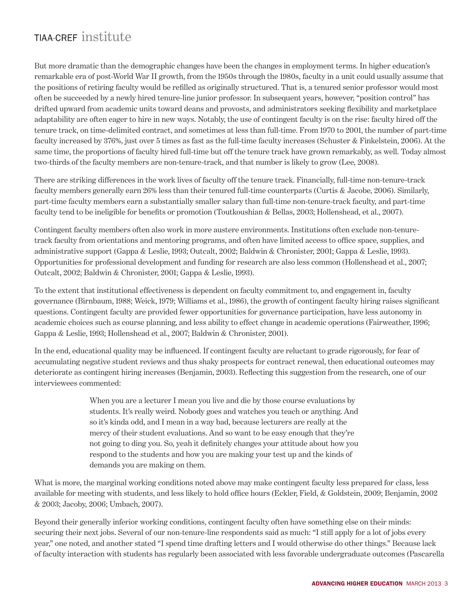But more dramatic than the demographic changes have been the changes in employment terms. In higher education's remarkable era of post-World War II growth, from the 1950s through the 1980s, faculty in a unit could usually assume that the positions of retiring faculty would be refilled as originally structured. That is, a tenured senior professor would most often be succeeded by a newly hired tenure-line junior professor. In subsequent years, however, "position control" has drifted upward from academic units toward deans and provosts, and administrators seeking flexibility and marketplace adaptability are often eager to hire in new ways. Notably, the use of contingent faculty is on the rise: faculty hired off the tenure track, on time-delimited contract, and sometimes at less than full-time. From 1970 to 2001, the number of part-time faculty increased by 376%, just over 5 times as fast as the full-time faculty increases (Schuster & Finkelstein, 2006). At the same time, the proportions of faculty hired full-time but off the tenure track have grown remarkably, as well. Today almost two-thirds of the faculty members are non-tenure-track, and that number is likely to grow (Lee, 2008).

There are striking differences in the work lives of faculty off the tenure track. Financially, full-time non-tenure-track faculty members generally earn 26% less than their tenured full-time counterparts (Curtis & Jacobe, 2006). Similarly, part-time faculty members earn a substantially smaller salary than full-time non-tenure-track faculty, and part-time faculty tend to be ineligible for benefits or promotion (Toutkoushian & Bellas, 2003; Hollenshead, et al., 2007).

Contingent faculty members often also work in more austere environments. Institutions often exclude non-tenuretrack faculty from orientations and mentoring programs, and often have limited access to office space, supplies, and administrative support (Gappa & Leslie, 1993; Outcalt, 2002; Baldwin & Chronister, 2001; Gappa & Leslie, 1993). Opportunities for professional development and funding for research are also less common (Hollenshead et al., 2007; Outcalt, 2002; Baldwin & Chronister, 2001; Gappa & Leslie, 1993).

To the extent that institutional effectiveness is dependent on faculty commitment to, and engagement in, faculty governance (Birnbaum, 1988; Weick, 1979; Williams et al., 1986), the growth of contingent faculty hiring raises significant questions. Contingent faculty are provided fewer opportunities for governance participation, have less autonomy in academic choices such as course planning, and less ability to effect change in academic operations (Fairweather, 1996; Gappa & Leslie, 1993; Hollenshead et al., 2007; Baldwin & Chronister, 2001).

In the end, educational quality may be influenced. If contingent faculty are reluctant to grade rigorously, for fear of accumulating negative student reviews and thus shaky prospects for contract renewal, then educational outcomes may deteriorate as contingent hiring increases (Benjamin, 2003). Reflecting this suggestion from the research, one of our interviewees commented:

> When you are a lecturer I mean you live and die by those course evaluations by students. It's really weird. Nobody goes and watches you teach or anything. And so it's kinda odd, and I mean in a way bad, because lecturers are really at the mercy of their student evaluations. And so want to be easy enough that they're not going to ding you. So, yeah it definitely changes your attitude about how you respond to the students and how you are making your test up and the kinds of demands you are making on them.

What is more, the marginal working conditions noted above may make contingent faculty less prepared for class, less available for meeting with students, and less likely to hold office hours (Eckler, Field, & Goldstein, 2009; Benjamin, 2002 & 2003; Jacoby, 2006; Umbach, 2007).

Beyond their generally inferior working conditions, contingent faculty often have something else on their minds: securing their next jobs. Several of our non-tenure-line respondents said as much: "I still apply for a lot of jobs every year," one noted, and another stated "I spend time drafting letters and I would otherwise do other things." Because lack of faculty interaction with students has regularly been associated with less favorable undergraduate outcomes (Pascarella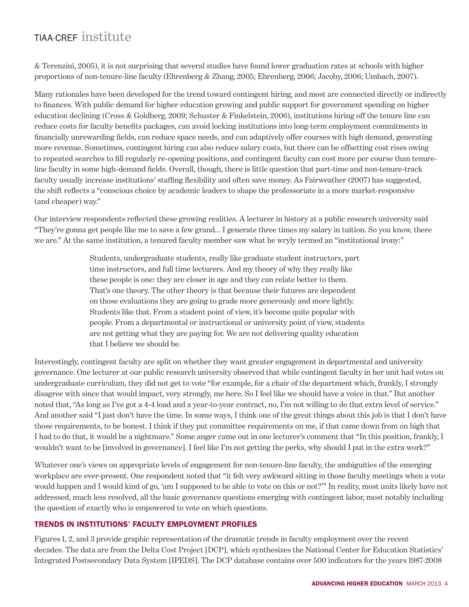& Terenzini, 2005), it is not surprising that several studies have found lower graduation rates at schools with higher proportions of non-tenure-line faculty (Ehrenberg & Zhang, 2005; Ehrenberg, 2006; Jacoby, 2006; Umbach, 2007).

Many rationales have been developed for the trend toward contingent hiring, and most are connected directly or indirectly to finances. With public demand for higher education growing and public support for government spending on higher education declining (Cross & Goldberg, 2009; Schuster & Finkelstein, 2006), institutions hiring off the tenure line can reduce costs for faculty benefits packages, can avoid locking institutions into long-term employment commitments in financially unrewarding fields, can reduce space needs, and can adaptively offer courses with high demand, generating more revenue. Sometimes, contingent hiring can also reduce salary costs, but there can be offsetting cost rises owing to repeated searches to fill regularly re-opening positions, and contingent faculty can cost more per course than tenureline faculty in some high-demand fields. Overall, though, there is little question that part-time and non-tenure-track faculty usually increase institutions' staffing flexibility and often save money. As Fairweather (2007) has suggested, the shift reflects a "conscious choice by academic leaders to shape the professoriate in a more market-responsive (and cheaper) way."

Our interview respondents reflected these growing realities. A lecturer in history at a public research university said "They're gonna get people like me to save a few grand… I generate three times my salary in tuition. So you know, there we are." At the same institution, a tenured faculty member saw what he wryly termed an "institutional irony:"

> Students, undergraduate students, really like graduate student instructors, part time instructors, and full time lecturers. And my theory of why they really like these people is one: they are closer in age and they can relate better to them. That's one theory. The other theory is that because their futures are dependent on those evaluations they are going to grade more generously and more lightly. Students like that. From a student point of view, it's become quite popular with people. From a departmental or instructional or university point of view, students are not getting what they are paying for. We are not delivering quality education that I believe we should be.

Interestingly, contingent faculty are split on whether they want greater engagement in departmental and university governance. One lecturer at our public research university observed that while contingent faculty in her unit had votes on undergraduate curriculum, they did not get to vote "for example, for a chair of the department which, frankly, I strongly disagree with since that would impact, very strongly, me here. So I feel like we should have a voice in that." But another noted that, "As long as I've got a 4-4 load and a year-to-year contract, no, I'm not willing to do that extra level of service." And another said "I just don't have the time. In some ways, I think one of the great things about this job is that I don't have those requirements, to be honest. I think if they put committee requirements on me, if that came down from on high that I had to do that, it would be a nightmare." Some anger came out in one lecturer's comment that "In this position, frankly, I wouldn't want to be [involved in governance]. I feel like I'm not getting the perks, why should I put in the extra work?"

Whatever one's views on appropriate levels of engagement for non-tenure-line faculty, the ambiguities of the emerging workplace are ever-present. One respondent noted that "it felt very awkward sitting in those faculty meetings when a vote would happen and I would kind of go, 'am I supposed to be able to vote on this or not?'" In reality, most units likely have not addressed, much less resolved, all the basic governance questions emerging with contingent labor, most notably including the question of exactly who is empowered to vote on which questions.

#### TRENDS IN INSTITUTIONS' FACULTY EMPLOYMENT PROFILES

Figures 1, 2, and 3 provide graphic representation of the dramatic trends in faculty employment over the recent decades. The data are from the Delta Cost Project [DCP], which synthesizes the National Center for Education Statistics' Integrated Postsecondary Data System [IPEDS]. The DCP database contains over 500 indicators for the years 1987-2008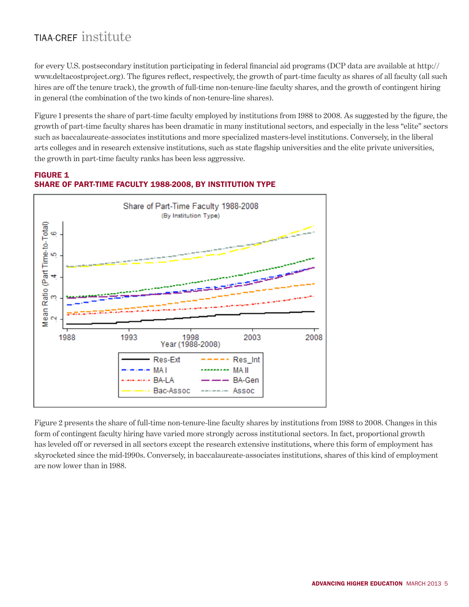for every U.S. postsecondary institution participating in federal financial aid programs (DCP data are available at http:// www.deltacostproject.org). The figures reflect, respectively, the growth of part-time faculty as shares of all faculty (all such hires are off the tenure track), the growth of full-time non-tenure-line faculty shares, and the growth of contingent hiring in general (the combination of the two kinds of non-tenure-line shares).

Figure 1 presents the share of part-time faculty employed by institutions from 1988 to 2008. As suggested by the figure, the growth of part-time faculty shares has been dramatic in many institutional sectors, and especially in the less "elite" sectors such as baccalaureate-associates institutions and more specialized masters-level institutions. Conversely, in the liberal arts colleges and in research extensive institutions, such as state flagship universities and the elite private universities, the growth in part-time faculty ranks has been less aggressive.



#### FIGURE 1 SHARE OF PART-TIME FACULTY 1988-2008, BY INSTITUTION TYPE

Figure 2 presents the share of full-time non-tenure-line faculty shares by institutions from 1988 to 2008. Changes in this form of contingent faculty hiring have varied more strongly across institutional sectors. In fact, proportional growth has leveled off or reversed in all sectors except the research extensive institutions, where this form of employment has skyrocketed since the mid-1990s. Conversely, in baccalaureate-associates institutions, shares of this kind of employment are now lower than in 1988.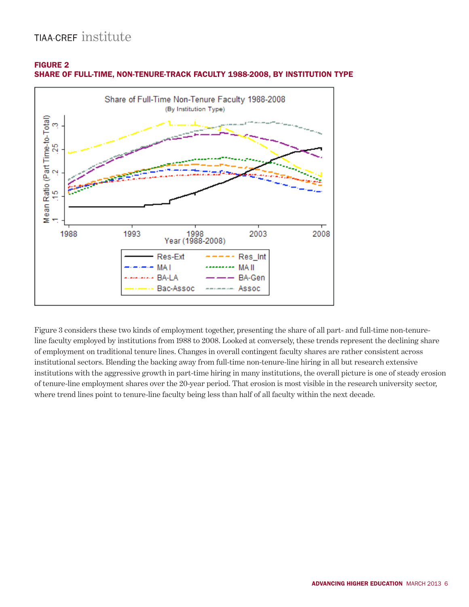



SHARE OF FULL-TIME, NON-TENURE-TRACK FACULTY 1988-2008, BY INSTITUTION TYPE

Figure 3 considers these two kinds of employment together, presenting the share of all part- and full-time non-tenureline faculty employed by institutions from 1988 to 2008. Looked at conversely, these trends represent the declining share of employment on traditional tenure lines. Changes in overall contingent faculty shares are rather consistent across institutional sectors. Blending the backing away from full-time non-tenure-line hiring in all but research extensive institutions with the aggressive growth in part-time hiring in many institutions, the overall picture is one of steady erosion of tenure-line employment shares over the 20-year period. That erosion is most visible in the research university sector, where trend lines point to tenure-line faculty being less than half of all faculty within the next decade.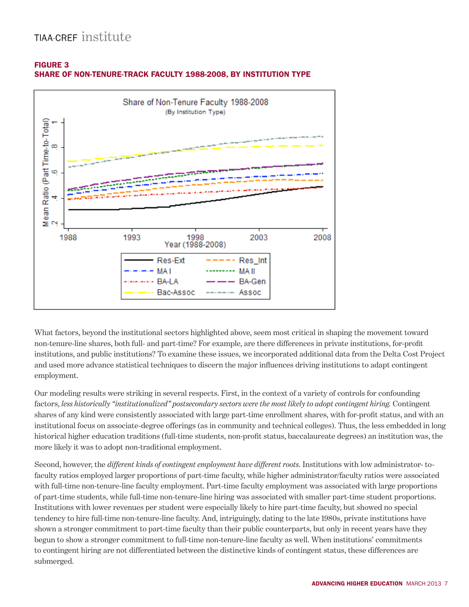

#### FIGURE 3 SHARE OF NON-TENURE-TRACK FACULTY 1988-2008, BY INSTITUTION TYPE

What factors, beyond the institutional sectors highlighted above, seem most critical in shaping the movement toward non-tenure-line shares, both full- and part-time? For example, are there differences in private institutions, for-profit institutions, and public institutions? To examine these issues, we incorporated additional data from the Delta Cost Project and used more advance statistical techniques to discern the major influences driving institutions to adapt contingent employment.

Our modeling results were striking in several respects. First, in the context of a variety of controls for confounding factors, *less historically "institutionalized" postsecondary sectors were the most likely to adopt contingent hiring.* Contingent shares of any kind were consistently associated with large part-time enrollment shares, with for-profit status, and with an institutional focus on associate-degree offerings (as in community and technical colleges). Thus, the less embedded in long historical higher education traditions (full-time students, non-profit status, baccalaureate degrees) an institution was, the more likely it was to adopt non-traditional employment.

Second, however, the *different kinds of contingent employment have different roots.* Institutions with low administrator- tofaculty ratios employed larger proportions of part-time faculty, while higher administrator/faculty ratios were associated with full-time non-tenure-line faculty employment. Part-time faculty employment was associated with large proportions of part-time students, while full-time non-tenure-line hiring was associated with smaller part-time student proportions. Institutions with lower revenues per student were especially likely to hire part-time faculty, but showed no special tendency to hire full-time non-tenure-line faculty. And, intriguingly, dating to the late 1980s, private institutions have shown a stronger commitment to part-time faculty than their public counterparts, but only in recent years have they begun to show a stronger commitment to full-time non-tenure-line faculty as well. When institutions' commitments to contingent hiring are not differentiated between the distinctive kinds of contingent status, these differences are submerged.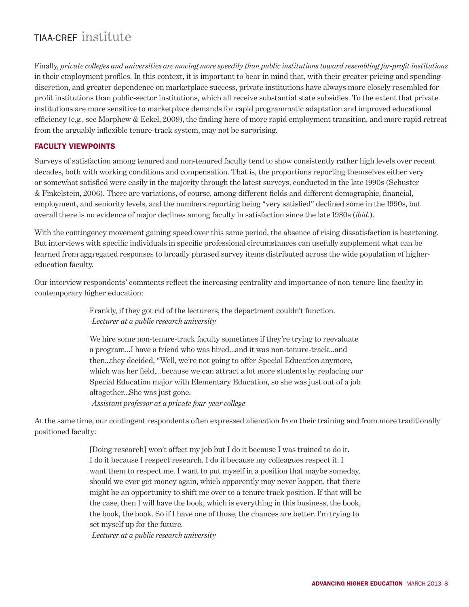Finally, *private colleges and universities are moving more speedily than public institutions toward resembling for-profit institutions* in their employment profiles. In this context, it is important to bear in mind that, with their greater pricing and spending discretion, and greater dependence on marketplace success, private institutions have always more closely resembled forprofit institutions than public-sector institutions, which all receive substantial state subsidies. To the extent that private institutions are more sensitive to marketplace demands for rapid programmatic adaptation and improved educational efficiency (e.g., see Morphew & Eckel, 2009), the finding here of more rapid employment transition, and more rapid retreat from the arguably inflexible tenure-track system, may not be surprising.

#### FACULTY VIEWPOINTS

Surveys of satisfaction among tenured and non-tenured faculty tend to show consistently rather high levels over recent decades, both with working conditions and compensation. That is, the proportions reporting themselves either very or somewhat satisfied were easily in the majority through the latest surveys, conducted in the late 1990s (Schuster & Finkelstein, 2006). There are variations, of course, among different fields and different demographic, financial, employment, and seniority levels, and the numbers reporting being "very satisfied" declined some in the 1990s, but overall there is no evidence of major declines among faculty in satisfaction since the late 1980s (*ibid.*).

With the contingency movement gaining speed over this same period, the absence of rising dissatisfaction is heartening. But interviews with specific individuals in specific professional circumstances can usefully supplement what can be learned from aggregated responses to broadly phrased survey items distributed across the wide population of highereducation faculty.

Our interview respondents' comments reflect the increasing centrality and importance of non-tenure-line faculty in contemporary higher education:

> Frankly, if they got rid of the lecturers, the department couldn't function. *-Lecturer at a public research university*

We hire some non-tenure-track faculty sometimes if they're trying to reevaluate a program…I have a friend who was hired…and it was non-tenure-track…and then…they decided, "Well, we're not going to offer Special Education anymore, which was her field,…because we can attract a lot more students by replacing our Special Education major with Elementary Education, so she was just out of a job altogether…She was just gone. *-Assistant professor at a private four-year college*

At the same time, our contingent respondents often expressed alienation from their training and from more traditionally positioned faculty:

> [Doing research] won't affect my job but I do it because I was trained to do it. I do it because I respect research. I do it because my colleagues respect it. I want them to respect me. I want to put myself in a position that maybe someday, should we ever get money again, which apparently may never happen, that there might be an opportunity to shift me over to a tenure track position. If that will be the case, then I will have the book, which is everything in this business, the book, the book, the book. So if I have one of those, the chances are better. I'm trying to set myself up for the future.

*-Lecturer at a public research university*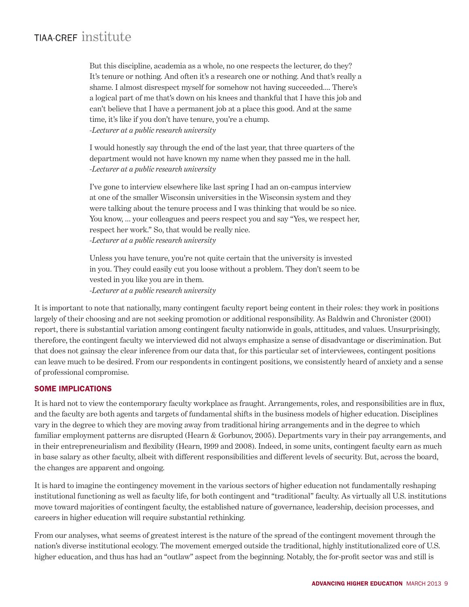But this discipline, academia as a whole, no one respects the lecturer, do they? It's tenure or nothing. And often it's a research one or nothing. And that's really a shame. I almost disrespect myself for somehow not having succeeded…. There's a logical part of me that's down on his knees and thankful that I have this job and can't believe that I have a permanent job at a place this good. And at the same time, it's like if you don't have tenure, you're a chump. *-Lecturer at a public research university*

I would honestly say through the end of the last year, that three quarters of the department would not have known my name when they passed me in the hall. *-Lecturer at a public research university* 

I've gone to interview elsewhere like last spring I had an on-campus interview at one of the smaller Wisconsin universities in the Wisconsin system and they were talking about the tenure process and I was thinking that would be so nice. You know, … your colleagues and peers respect you and say "Yes, we respect her, respect her work." So, that would be really nice. *-Lecturer at a public research university* 

Unless you have tenure, you're not quite certain that the university is invested in you. They could easily cut you loose without a problem. They don't seem to be vested in you like you are in them. *-Lecturer at a public research university*

It is important to note that nationally, many contingent faculty report being content in their roles: they work in positions largely of their choosing and are not seeking promotion or additional responsibility. As Baldwin and Chronister (2001) report, there is substantial variation among contingent faculty nationwide in goals, attitudes, and values. Unsurprisingly, therefore, the contingent faculty we interviewed did not always emphasize a sense of disadvantage or discrimination. But that does not gainsay the clear inference from our data that, for this particular set of interviewees, contingent positions can leave much to be desired. From our respondents in contingent positions, we consistently heard of anxiety and a sense of professional compromise.

#### SOME IMPLICATIONS

It is hard not to view the contemporary faculty workplace as fraught. Arrangements, roles, and responsibilities are in flux, and the faculty are both agents and targets of fundamental shifts in the business models of higher education. Disciplines vary in the degree to which they are moving away from traditional hiring arrangements and in the degree to which familiar employment patterns are disrupted (Hearn & Gorbunov, 2005). Departments vary in their pay arrangements, and in their entrepreneurialism and flexibility (Hearn, 1999 and 2008). Indeed, in some units, contingent faculty earn as much in base salary as other faculty, albeit with different responsibilities and different levels of security. But, across the board, the changes are apparent and ongoing.

It is hard to imagine the contingency movement in the various sectors of higher education not fundamentally reshaping institutional functioning as well as faculty life, for both contingent and "traditional" faculty. As virtually all U.S. institutions move toward majorities of contingent faculty, the established nature of governance, leadership, decision processes, and careers in higher education will require substantial rethinking.

From our analyses, what seems of greatest interest is the nature of the spread of the contingent movement through the nation's diverse institutional ecology. The movement emerged outside the traditional, highly institutionalized core of U.S. higher education, and thus has had an "outlaw" aspect from the beginning. Notably, the for-profit sector was and still is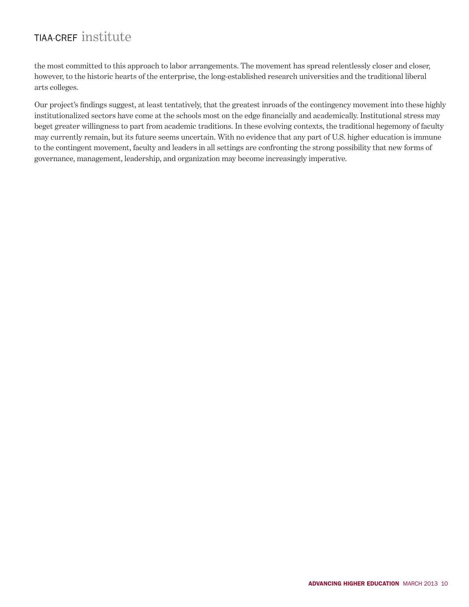the most committed to this approach to labor arrangements. The movement has spread relentlessly closer and closer, however, to the historic hearts of the enterprise, the long-established research universities and the traditional liberal arts colleges.

Our project's findings suggest, at least tentatively, that the greatest inroads of the contingency movement into these highly institutionalized sectors have come at the schools most on the edge financially and academically. Institutional stress may beget greater willingness to part from academic traditions. In these evolving contexts, the traditional hegemony of faculty may currently remain, but its future seems uncertain. With no evidence that any part of U.S. higher education is immune to the contingent movement, faculty and leaders in all settings are confronting the strong possibility that new forms of governance, management, leadership, and organization may become increasingly imperative.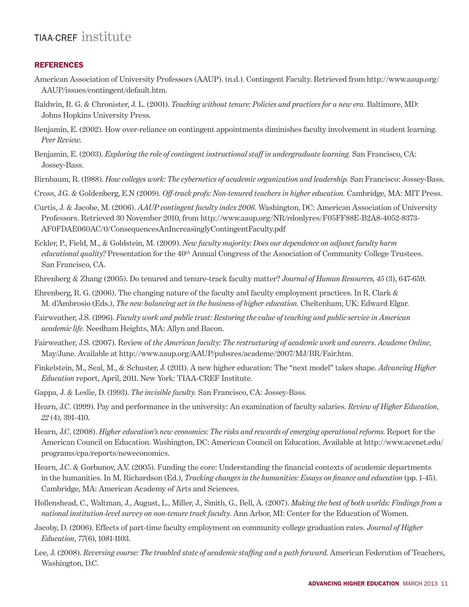#### REFERENCES

- American Association of University Professors (AAUP). (n.d.). Contingent Faculty. Retrieved from http://www.aaup.org/ AAUP/issues/contingent/default.htm.
- Baldwin, R. G. & Chronister, J. L. (2001). *Teaching without tenure: Policies and practices for a new era*. Baltimore, MD: Johns Hopkins University Press.
- Benjamin, E. (2002). How over-reliance on contingent appointments diminishes faculty involvement in student learning. *Peer Review.*
- Benjamin, E. (2003). *Exploring the role of contingent instructional staff in undergraduate learning.* San Francisco, CA: Jossey-Bass.
- Birnbaum, R. (1988). *How colleges work: The cybernetics of academic organization and leadership.* San Francisco: Jossey-Bass.

Cross, J.G. & Goldenberg, E.N (2009). *Off-track profs: Non-tenured teachers in higher education.* Cambridge, MA: MIT Press.

- Curtis, J. & Jacobe, M. (2006). *AAUP contingent faculty index 2006*. Washington, DC: American Association of University Professors. Retrieved 30 November 2010, from http://www.aaup.org/NR/rdonlyres/F05FF88E-B2A8-4052-8373- AF0FDAE060AC/0/ConsequencesAnIncreasinglyContingentFaculty.pdf
- Eckler, P., Field, M., & Goldstein, M. (2009). *New faculty majority: Does our dependence on adjunct faculty harm educational quality?* Presentation for the 40<sup>th</sup> Annual Congress of the Association of Community College Trustees. San Francisco, CA.
- Ehrenberg & Zhang (2005). Do tenured and tenure-track faculty matter? *Journal of Human Resources, 45* (3), 647-659.
- Ehrenberg, R. G. (2006). The changing nature of the faculty and faculty employment practices. In R. Clark & M. d'Ambrosio (Eds.), *The new balancing act in the business of higher education.* Cheltenham, UK: Edward Elgar.
- Fairweather, J.S. (1996). *Faculty work and public trust: Restoring the value of teaching and public service in American academic life.* Needham Heights, MA: Allyn and Bacon.
- Fairweather, J.S. (2007). Review of *the American faculty: The restructuring of academic work and careers*. *Academe Online*, May/June. Available at http://www.aaup.org/AAUP/pubsres/academe/2007/MJ/BR/Fair.htm.
- Finkelstein, M., Seal, M., & Schuster, J. (2011). A new higher education: The "next model" takes shape. *Advancing Higher Education* report, April, 2011. New York: TIAA-CREF Institute.
- Gappa, J. & Leslie, D. (1993). *The invisible faculty.* San Francisco, CA: Jossey-Bass.
- Hearn, J.C. (1999). Pay and performance in the university: An examination of faculty salaries. *Review of Higher Education*, *22* (4), 391-410.
- Hearn, J.C. (2008). *Higher education's new economics: The risks and rewards of emerging operational reforms.* Report for the American Council on Education. Washington, DC: American Council on Education. Available at http://www.acenet.edu/ programs/cpa/reports/neweconomics.
- Hearn, J.C. & Gorbunov, A.V. (2005). Funding the core: Understanding the financial contexts of academic departments in the humanities. In M. Richardson (Ed.), *Tracking changes in the humanities: Essays on finance and education* (pp. 1-45). Cambridge, MA: American Academy of Arts and Sciences.
- Hollenshead, C., Waltman, J., August, L., Miller, J., Smith, G., Bell, A. (2007). *Making the best of both worlds: Findings from a national institution-level survey on non-tenure track faculty.* Ann Arbor, MI: Center for the Education of Women.
- Jacoby, D. (2006). Effects of part-time faculty employment on community college graduation rates. *Journal of Higher Education*, *77*(6), 1081-1103.
- Lee, J. (2008). *Reversing course: The troubled state of academic staffing and a path forward.* American Federation of Teachers, Washington, D.C.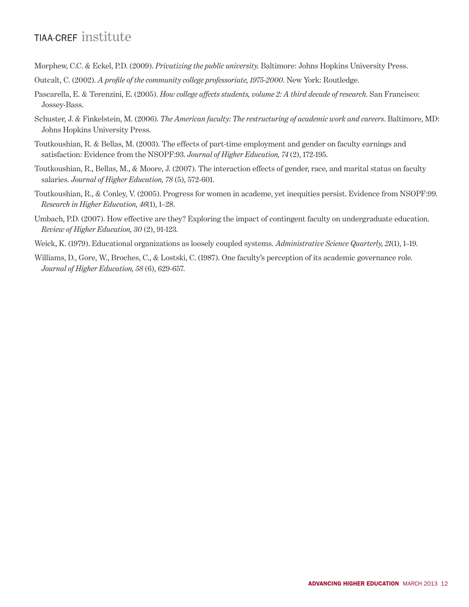- Morphew, C.C. & Eckel, P.D. (2009). *Privatizing the public university.* Baltimore: Johns Hopkins University Press.
- Outcalt, C. (2002). *A profile of the community college professoriate, 1975-2000*. New York: Routledge.
- Pascarella, E. & Terenzini, E. (2005). *How college affects students, volume 2: A third decade of research.* San Francisco: Jossey-Bass.
- Schuster, J. & Finkelstein, M. (2006). *The American faculty: The restructuring of academic work and careers*. Baltimore, MD: Johns Hopkins University Press.
- Toutkoushian, R. & Bellas, M. (2003). The effects of part-time employment and gender on faculty earnings and satisfaction: Evidence from the NSOPF:93. *Journal of Higher Education, 74* (2), 172-195.
- Toutkoushian, R., Bellas, M., & Moore, J. (2007). The interaction effects of gender, race, and marital status on faculty salaries. *Journal of Higher Education, 78* (5), 572-601.
- Toutkoushian, R., & Conley, V. (2005). Progress for women in academe, yet inequities persist. Evidence from NSOPF:99. *Research in Higher Education, 46*(1), 1–28.
- Umbach, P.D. (2007). How effective are they? Exploring the impact of contingent faculty on undergraduate education. *Review of Higher Education, 30* (2), 91-123.
- Weick, K. (1979). Educational organizations as loosely coupled systems. *Administrative Science Quarterly, 21*(1), 1–19.
- Williams, D., Gore, W., Broches, C., & Lostski, C. (1987). One faculty's perception of its academic governance role*. Journal of Higher Education, 58* (6), 629-657.